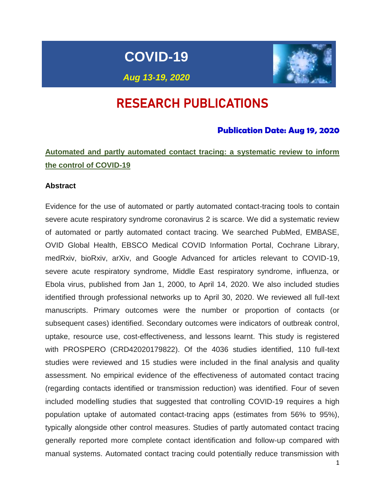# **COVID-19**



*Aug 13-19, 2020*

# RESEARCH PUBLICATIONS

# **Publication Date: Aug 19, 2020**

# **Automated and partly automated contact tracing: a systematic review to inform the control of COVID-19**

#### **Abstract**

Evidence for the use of automated or partly automated contact-tracing tools to contain severe acute respiratory syndrome coronavirus 2 is scarce. We did a systematic review of automated or partly automated contact tracing. We searched PubMed, EMBASE, OVID Global Health, EBSCO Medical COVID Information Portal, Cochrane Library, medRxiv, bioRxiv, arXiv, and Google Advanced for articles relevant to COVID-19, severe acute respiratory syndrome, Middle East respiratory syndrome, influenza, or Ebola virus, published from Jan 1, 2000, to April 14, 2020. We also included studies identified through professional networks up to April 30, 2020. We reviewed all full-text manuscripts. Primary outcomes were the number or proportion of contacts (or subsequent cases) identified. Secondary outcomes were indicators of outbreak control, uptake, resource use, cost-effectiveness, and lessons learnt. This study is registered with PROSPERO (CRD42020179822). Of the 4036 studies identified, 110 full-text studies were reviewed and 15 studies were included in the final analysis and quality assessment. No empirical evidence of the effectiveness of automated contact tracing (regarding contacts identified or transmission reduction) was identified. Four of seven included modelling studies that suggested that controlling COVID-19 requires a high population uptake of automated contact-tracing apps (estimates from 56% to 95%), typically alongside other control measures. Studies of partly automated contact tracing generally reported more complete contact identification and follow-up compared with manual systems. Automated contact tracing could potentially reduce transmission with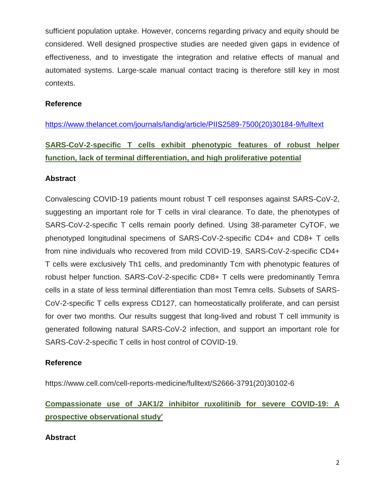sufficient population uptake. However, concerns regarding privacy and equity should be considered. Well designed prospective studies are needed given gaps in evidence of effectiveness, and to investigate the integration and relative effects of manual and automated systems. Large-scale manual contact tracing is therefore still key in most contexts.

# **Reference**

[https://www.thelancet.com/journals/landig/article/PIIS2589-7500\(20\)30184-9/fulltext](https://www.thelancet.com/journals/landig/article/PIIS2589-7500(20)30184-9/fulltext)

# **SARS-CoV-2-specific T cells exhibit phenotypic features of robust helper function, lack of terminal differentiation, and high proliferative potential**

# **Abstract**

Convalescing COVID-19 patients mount robust T cell responses against SARS-CoV-2, suggesting an important role for T cells in viral clearance. To date, the phenotypes of SARS-CoV-2-specific T cells remain poorly defined. Using 38-parameter CyTOF, we phenotyped longitudinal specimens of SARS-CoV-2-specific CD4+ and CD8+ T cells from nine individuals who recovered from mild COVID-19. SARS-CoV-2-specific CD4+ T cells were exclusively Th1 cells, and predominantly Tcm with phenotypic features of robust helper function. SARS-CoV-2-specific CD8+ T cells were predominantly Temra cells in a state of less terminal differentiation than most Temra cells. Subsets of SARS-CoV-2-specific T cells express CD127, can homeostatically proliferate, and can persist for over two months. Our results suggest that long-lived and robust T cell immunity is generated following natural SARS-CoV-2 infection, and support an important role for SARS-CoV-2-specific T cells in host control of COVID-19.

# **Reference**

https://www.cell.com/cell-reports-medicine/fulltext/S2666-3791(20)30102-6

# **Compassionate use of JAK1/2 inhibitor ruxolitinib for severe COVID-19: A prospective observational study'**

# **Abstract**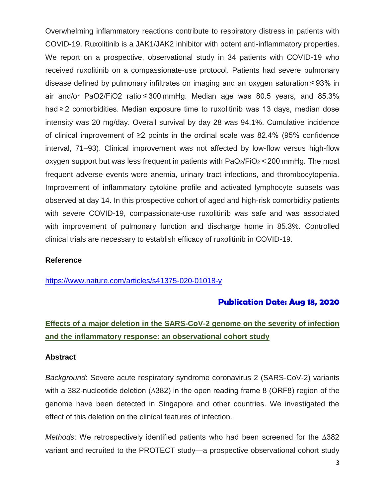Overwhelming inflammatory reactions contribute to respiratory distress in patients with COVID-19. Ruxolitinib is a JAK1/JAK2 inhibitor with potent anti-inflammatory properties. We report on a prospective, observational study in 34 patients with COVID-19 who received ruxolitinib on a compassionate-use protocol. Patients had severe pulmonary disease defined by pulmonary infiltrates on imaging and an oxygen saturation ≤ 93% in air and/or PaO2/FiO2 ratio ≤ 300 mmHg. Median age was 80.5 years, and 85.3% had ≥ 2 comorbidities. Median exposure time to ruxolitinib was 13 days, median dose intensity was 20 mg/day. Overall survival by day 28 was 94.1%. Cumulative incidence of clinical improvement of ≥2 points in the ordinal scale was 82.4% (95% confidence interval, 71–93). Clinical improvement was not affected by low-flow versus high-flow oxygen support but was less frequent in patients with  $PaO<sub>2</sub>/FiO<sub>2</sub> < 200$  mmHg. The most frequent adverse events were anemia, urinary tract infections, and thrombocytopenia. Improvement of inflammatory cytokine profile and activated lymphocyte subsets was observed at day 14. In this prospective cohort of aged and high-risk comorbidity patients with severe COVID-19, compassionate-use ruxolitinib was safe and was associated with improvement of pulmonary function and discharge home in 85.3%. Controlled clinical trials are necessary to establish efficacy of ruxolitinib in COVID-19.

#### **Reference**

<https://www.nature.com/articles/s41375-020-01018-y>

# **Publication Date: Aug 18, 2020**

# **Effects of a major deletion in the SARS-CoV-2 genome on the severity of infection and the inflammatory response: an observational cohort study**

#### **Abstract**

*Background*: Severe acute respiratory syndrome coronavirus 2 (SARS-CoV-2) variants with a 382-nucleotide deletion (∆382) in the open reading frame 8 (ORF8) region of the genome have been detected in Singapore and other countries. We investigated the effect of this deletion on the clinical features of infection.

*Methods*: We retrospectively identified patients who had been screened for the ∆382 variant and recruited to the PROTECT study—a prospective observational cohort study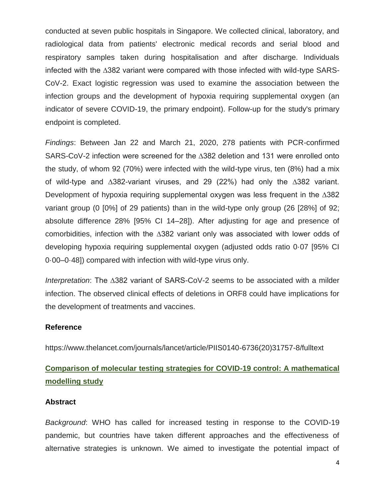conducted at seven public hospitals in Singapore. We collected clinical, laboratory, and radiological data from patients' electronic medical records and serial blood and respiratory samples taken during hospitalisation and after discharge. Individuals infected with the ∆382 variant were compared with those infected with wild-type SARS-CoV-2. Exact logistic regression was used to examine the association between the infection groups and the development of hypoxia requiring supplemental oxygen (an indicator of severe COVID-19, the primary endpoint). Follow-up for the study's primary endpoint is completed.

*Findings*: Between Jan 22 and March 21, 2020, 278 patients with PCR-confirmed SARS-CoV-2 infection were screened for the ∆382 deletion and 131 were enrolled onto the study, of whom 92 (70%) were infected with the wild-type virus, ten (8%) had a mix of wild-type and ∆382-variant viruses, and 29 (22%) had only the ∆382 variant. Development of hypoxia requiring supplemental oxygen was less frequent in the ∆382 variant group (0 [0%] of 29 patients) than in the wild-type only group (26 [28%] of 92; absolute difference 28% [95% CI 14–28]). After adjusting for age and presence of comorbidities, infection with the ∆382 variant only was associated with lower odds of developing hypoxia requiring supplemental oxygen (adjusted odds ratio 0·07 [95% CI 0·00–0·48]) compared with infection with wild-type virus only.

*Interpretation*: The ∆382 variant of SARS-CoV-2 seems to be associated with a milder infection. The observed clinical effects of deletions in ORF8 could have implications for the development of treatments and vaccines.

## **Reference**

https://www.thelancet.com/journals/lancet/article/PIIS0140-6736(20)31757-8/fulltext

# **Comparison of molecular testing strategies for COVID-19 control: A mathematical modelling study**

#### **Abstract**

*Background*: WHO has called for increased testing in response to the COVID-19 pandemic, but countries have taken different approaches and the effectiveness of alternative strategies is unknown. We aimed to investigate the potential impact of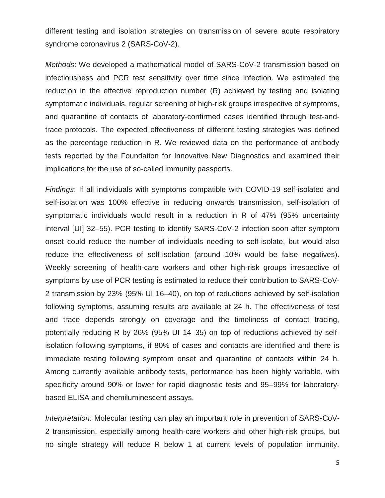different testing and isolation strategies on transmission of severe acute respiratory syndrome coronavirus 2 (SARS-CoV-2).

*Methods*: We developed a mathematical model of SARS-CoV-2 transmission based on infectiousness and PCR test sensitivity over time since infection. We estimated the reduction in the effective reproduction number (R) achieved by testing and isolating symptomatic individuals, regular screening of high-risk groups irrespective of symptoms, and quarantine of contacts of laboratory-confirmed cases identified through test-andtrace protocols. The expected effectiveness of different testing strategies was defined as the percentage reduction in R. We reviewed data on the performance of antibody tests reported by the Foundation for Innovative New Diagnostics and examined their implications for the use of so-called immunity passports.

*Findings*: If all individuals with symptoms compatible with COVID-19 self-isolated and self-isolation was 100% effective in reducing onwards transmission, self-isolation of symptomatic individuals would result in a reduction in R of 47% (95% uncertainty interval [UI] 32–55). PCR testing to identify SARS-CoV-2 infection soon after symptom onset could reduce the number of individuals needing to self-isolate, but would also reduce the effectiveness of self-isolation (around 10% would be false negatives). Weekly screening of health-care workers and other high-risk groups irrespective of symptoms by use of PCR testing is estimated to reduce their contribution to SARS-CoV-2 transmission by 23% (95% UI 16–40), on top of reductions achieved by self-isolation following symptoms, assuming results are available at 24 h. The effectiveness of test and trace depends strongly on coverage and the timeliness of contact tracing, potentially reducing R by 26% (95% UI 14–35) on top of reductions achieved by selfisolation following symptoms, if 80% of cases and contacts are identified and there is immediate testing following symptom onset and quarantine of contacts within 24 h. Among currently available antibody tests, performance has been highly variable, with specificity around 90% or lower for rapid diagnostic tests and 95–99% for laboratorybased ELISA and chemiluminescent assays.

*Interpretation*: Molecular testing can play an important role in prevention of SARS-CoV-2 transmission, especially among health-care workers and other high-risk groups, but no single strategy will reduce R below 1 at current levels of population immunity.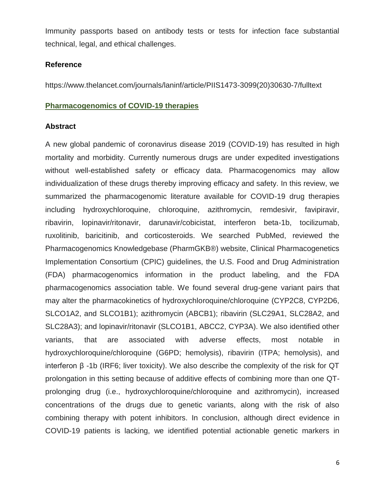Immunity passports based on antibody tests or tests for infection face substantial technical, legal, and ethical challenges.

#### **Reference**

https://www.thelancet.com/journals/laninf/article/PIIS1473-3099(20)30630-7/fulltext

#### **Pharmacogenomics of COVID-19 therapies**

#### **Abstract**

A new global pandemic of coronavirus disease 2019 (COVID-19) has resulted in high mortality and morbidity. Currently numerous drugs are under expedited investigations without well-established safety or efficacy data. Pharmacogenomics may allow individualization of these drugs thereby improving efficacy and safety. In this review, we summarized the pharmacogenomic literature available for COVID-19 drug therapies including hydroxychloroquine, chloroquine, azithromycin, remdesivir, favipiravir, ribavirin, lopinavir/ritonavir, darunavir/cobicistat, interferon beta-1b, tocilizumab, ruxolitinib, baricitinib, and corticosteroids. We searched PubMed, reviewed the Pharmacogenomics Knowledgebase (PharmGKB®) website, Clinical Pharmacogenetics Implementation Consortium (CPIC) guidelines, the U.S. Food and Drug Administration (FDA) pharmacogenomics information in the product labeling, and the FDA pharmacogenomics association table. We found several drug-gene variant pairs that may alter the pharmacokinetics of hydroxychloroquine/chloroquine (CYP2C8, CYP2D6, SLCO1A2, and SLCO1B1); azithromycin (ABCB1); ribavirin (SLC29A1, SLC28A2, and SLC28A3); and lopinavir/ritonavir (SLCO1B1, ABCC2, CYP3A). We also identified other variants, that are associated with adverse effects, most notable in hydroxychloroquine/chloroquine (G6PD; hemolysis), ribavirin (ITPA; hemolysis), and interferon  $β -1b$  (IRF6; liver toxicity). We also describe the complexity of the risk for QT prolongation in this setting because of additive effects of combining more than one QTprolonging drug (i.e., hydroxychloroquine/chloroquine and azithromycin), increased concentrations of the drugs due to genetic variants, along with the risk of also combining therapy with potent inhibitors. In conclusion, although direct evidence in COVID-19 patients is lacking, we identified potential actionable genetic markers in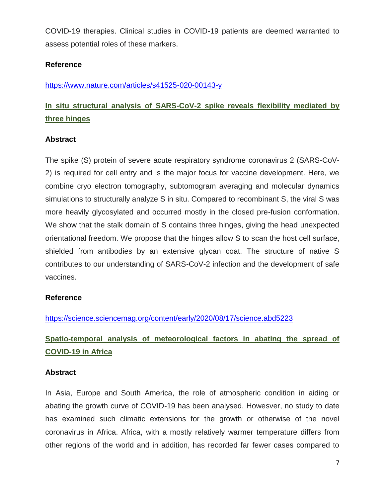COVID-19 therapies. Clinical studies in COVID-19 patients are deemed warranted to assess potential roles of these markers.

# **Reference**

<https://www.nature.com/articles/s41525-020-00143-y>

# **In situ structural analysis of SARS-CoV-2 spike reveals flexibility mediated by three hinges**

# **Abstract**

The spike (S) protein of severe acute respiratory syndrome coronavirus 2 (SARS-CoV-2) is required for cell entry and is the major focus for vaccine development. Here, we combine cryo electron tomography, subtomogram averaging and molecular dynamics simulations to structurally analyze S in situ. Compared to recombinant S, the viral S was more heavily glycosylated and occurred mostly in the closed pre-fusion conformation. We show that the stalk domain of S contains three hinges, giving the head unexpected orientational freedom. We propose that the hinges allow S to scan the host cell surface, shielded from antibodies by an extensive glycan coat. The structure of native S contributes to our understanding of SARS-CoV-2 infection and the development of safe vaccines.

## **Reference**

<https://science.sciencemag.org/content/early/2020/08/17/science.abd5223>

# **Spatio-temporal analysis of meteorological factors in abating the spread of COVID-19 in Africa**

## **Abstract**

In Asia, Europe and South America, the role of atmospheric condition in aiding or abating the growth curve of COVID-19 has been analysed. Howesver, no study to date has examined such climatic extensions for the growth or otherwise of the novel coronavirus in Africa. Africa, with a mostly relatively warmer temperature differs from other regions of the world and in addition, has recorded far fewer cases compared to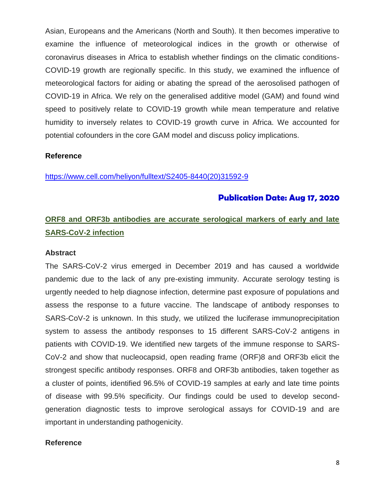Asian, Europeans and the Americans (North and South). It then becomes imperative to examine the influence of meteorological indices in the growth or otherwise of coronavirus diseases in Africa to establish whether findings on the climatic conditions-COVID-19 growth are regionally specific. In this study, we examined the influence of meteorological factors for aiding or abating the spread of the aerosolised pathogen of COVID-19 in Africa. We rely on the generalised additive model (GAM) and found wind speed to positively relate to COVID-19 growth while mean temperature and relative humidity to inversely relates to COVID-19 growth curve in Africa. We accounted for potential cofounders in the core GAM model and discuss policy implications.

#### **Reference**

[https://www.cell.com/heliyon/fulltext/S2405-8440\(20\)31592-9](https://www.cell.com/heliyon/fulltext/S2405-8440(20)31592-9)

## **Publication Date: Aug 17, 2020**

# **ORF8 and ORF3b antibodies are accurate serological markers of early and late SARS-CoV-2 infection**

#### **Abstract**

The SARS-CoV-2 virus emerged in December 2019 and has caused a worldwide pandemic due to the lack of any pre-existing immunity. Accurate serology testing is urgently needed to help diagnose infection, determine past exposure of populations and assess the response to a future vaccine. The landscape of antibody responses to SARS-CoV-2 is unknown. In this study, we utilized the luciferase immunoprecipitation system to assess the antibody responses to 15 different SARS-CoV-2 antigens in patients with COVID-19. We identified new targets of the immune response to SARS-CoV-2 and show that nucleocapsid, open reading frame (ORF)8 and ORF3b elicit the strongest specific antibody responses. ORF8 and ORF3b antibodies, taken together as a cluster of points, identified 96.5% of COVID-19 samples at early and late time points of disease with 99.5% specificity. Our findings could be used to develop secondgeneration diagnostic tests to improve serological assays for COVID-19 and are important in understanding pathogenicity.

#### **Reference**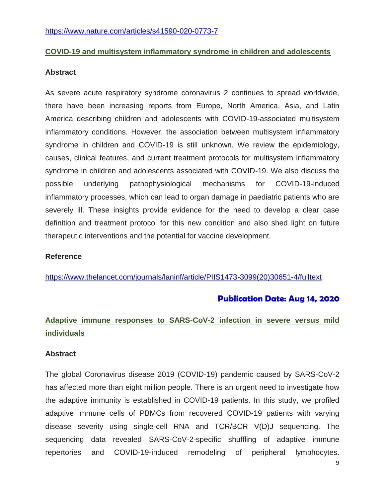## **COVID-19 and multisystem inflammatory syndrome in children and adolescents**

#### **Abstract**

As severe acute respiratory syndrome coronavirus 2 continues to spread worldwide, there have been increasing reports from Europe, North America, Asia, and Latin America describing children and adolescents with COVID-19-associated multisystem inflammatory conditions. However, the association between multisystem inflammatory syndrome in children and COVID-19 is still unknown. We review the epidemiology, causes, clinical features, and current treatment protocols for multisystem inflammatory syndrome in children and adolescents associated with COVID-19. We also discuss the possible underlying pathophysiological mechanisms for COVID-19-induced inflammatory processes, which can lead to organ damage in paediatric patients who are severely ill. These insights provide evidence for the need to develop a clear case definition and treatment protocol for this new condition and also shed light on future therapeutic interventions and the potential for vaccine development.

#### **Reference**

[https://www.thelancet.com/journals/laninf/article/PIIS1473-3099\(20\)30651-4/fulltext](https://www.thelancet.com/journals/laninf/article/PIIS1473-3099(20)30651-4/fulltext)

# **Publication Date: Aug 14, 2020**

# **Adaptive immune responses to SARS-CoV-2 infection in severe versus mild individuals**

#### **Abstract**

The global Coronavirus disease 2019 (COVID-19) pandemic caused by SARS-CoV-2 has affected more than eight million people. There is an urgent need to investigate how the adaptive immunity is established in COVID-19 patients. In this study, we profiled adaptive immune cells of PBMCs from recovered COVID-19 patients with varying disease severity using single-cell RNA and TCR/BCR V(D)J sequencing. The sequencing data revealed SARS-CoV-2-specific shuffling of adaptive immune repertories and COVID-19-induced remodeling of peripheral lymphocytes.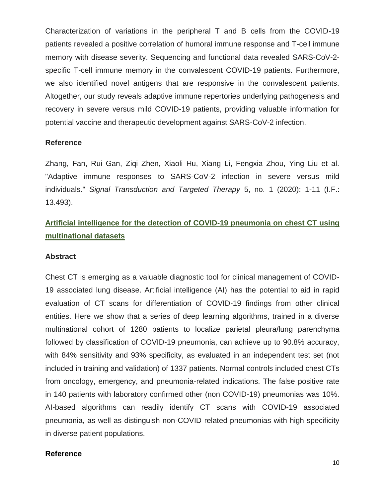Characterization of variations in the peripheral T and B cells from the COVID-19 patients revealed a positive correlation of humoral immune response and T-cell immune memory with disease severity. Sequencing and functional data revealed SARS-CoV-2 specific T-cell immune memory in the convalescent COVID-19 patients. Furthermore, we also identified novel antigens that are responsive in the convalescent patients. Altogether, our study reveals adaptive immune repertories underlying pathogenesis and recovery in severe versus mild COVID-19 patients, providing valuable information for potential vaccine and therapeutic development against SARS-CoV-2 infection.

#### **Reference**

Zhang, Fan, Rui Gan, Ziqi Zhen, Xiaoli Hu, Xiang Li, Fengxia Zhou, Ying Liu et al. "Adaptive immune responses to SARS-CoV-2 infection in severe versus mild individuals." *Signal Transduction and Targeted Therapy* 5, no. 1 (2020): 1-11 (I.F.: 13.493).

# **Artificial intelligence for the detection of COVID-19 pneumonia on chest CT using multinational datasets**

#### **Abstract**

Chest CT is emerging as a valuable diagnostic tool for clinical management of COVID-19 associated lung disease. Artificial intelligence (AI) has the potential to aid in rapid evaluation of CT scans for differentiation of COVID-19 findings from other clinical entities. Here we show that a series of deep learning algorithms, trained in a diverse multinational cohort of 1280 patients to localize parietal pleura/lung parenchyma followed by classification of COVID-19 pneumonia, can achieve up to 90.8% accuracy, with 84% sensitivity and 93% specificity, as evaluated in an independent test set (not included in training and validation) of 1337 patients. Normal controls included chest CTs from oncology, emergency, and pneumonia-related indications. The false positive rate in 140 patients with laboratory confirmed other (non COVID-19) pneumonias was 10%. AI-based algorithms can readily identify CT scans with COVID-19 associated pneumonia, as well as distinguish non-COVID related pneumonias with high specificity in diverse patient populations.

#### **Reference**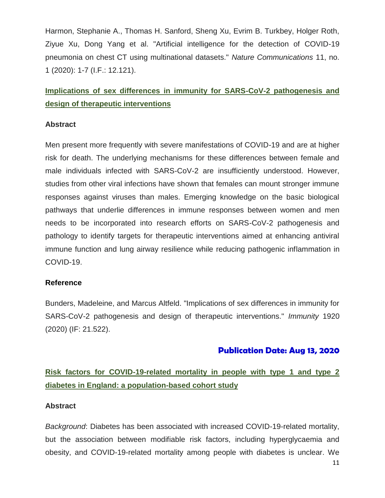Harmon, Stephanie A., Thomas H. Sanford, Sheng Xu, Evrim B. Turkbey, Holger Roth, Ziyue Xu, Dong Yang et al. "Artificial intelligence for the detection of COVID-19 pneumonia on chest CT using multinational datasets." *Nature Communications* 11, no. 1 (2020): 1-7 (I.F.: 12.121).

# **Implications of sex differences in immunity for SARS-CoV-2 pathogenesis and design of therapeutic interventions**

## **Abstract**

Men present more frequently with severe manifestations of COVID-19 and are at higher risk for death. The underlying mechanisms for these differences between female and male individuals infected with SARS-CoV-2 are insufficiently understood. However, studies from other viral infections have shown that females can mount stronger immune responses against viruses than males. Emerging knowledge on the basic biological pathways that underlie differences in immune responses between women and men needs to be incorporated into research efforts on SARS-CoV-2 pathogenesis and pathology to identify targets for therapeutic interventions aimed at enhancing antiviral immune function and lung airway resilience while reducing pathogenic inflammation in COVID-19.

## **Reference**

Bunders, Madeleine, and Marcus Altfeld. "Implications of sex differences in immunity for SARS-CoV-2 pathogenesis and design of therapeutic interventions." *Immunity* 1920 (2020) (IF: 21.522).

# **Publication Date: Aug 13, 2020**

# **Risk factors for COVID-19-related mortality in people with type 1 and type 2 diabetes in England: a population-based cohort study**

## **Abstract**

*Background*: Diabetes has been associated with increased COVID-19-related mortality, but the association between modifiable risk factors, including hyperglycaemia and obesity, and COVID-19-related mortality among people with diabetes is unclear. We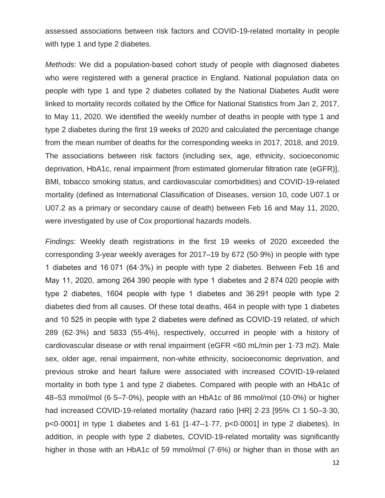assessed associations between risk factors and COVID-19-related mortality in people with type 1 and type 2 diabetes.

*Methods*: We did a population-based cohort study of people with diagnosed diabetes who were registered with a general practice in England. National population data on people with type 1 and type 2 diabetes collated by the National Diabetes Audit were linked to mortality records collated by the Office for National Statistics from Jan 2, 2017, to May 11, 2020. We identified the weekly number of deaths in people with type 1 and type 2 diabetes during the first 19 weeks of 2020 and calculated the percentage change from the mean number of deaths for the corresponding weeks in 2017, 2018, and 2019. The associations between risk factors (including sex, age, ethnicity, socioeconomic deprivation, HbA1c, renal impairment [from estimated glomerular filtration rate (eGFR)], BMI, tobacco smoking status, and cardiovascular comorbidities) and COVID-19-related mortality (defined as International Classification of Diseases, version 10, code U07.1 or U07.2 as a primary or secondary cause of death) between Feb 16 and May 11, 2020, were investigated by use of Cox proportional hazards models.

*Findings*: Weekly death registrations in the first 19 weeks of 2020 exceeded the corresponding 3-year weekly averages for 2017–19 by 672 (50·9%) in people with type 1 diabetes and 16 071 (64·3%) in people with type 2 diabetes. Between Feb 16 and May 11, 2020, among 264 390 people with type 1 diabetes and 2 874 020 people with type 2 diabetes, 1604 people with type 1 diabetes and 36 291 people with type 2 diabetes died from all causes. Of these total deaths, 464 in people with type 1 diabetes and 10 525 in people with type 2 diabetes were defined as COVID-19 related, of which 289 (62·3%) and 5833 (55·4%), respectively, occurred in people with a history of cardiovascular disease or with renal impairment (eGFR <60 mL/min per 1·73 m2). Male sex, older age, renal impairment, non-white ethnicity, socioeconomic deprivation, and previous stroke and heart failure were associated with increased COVID-19-related mortality in both type 1 and type 2 diabetes. Compared with people with an HbA1c of 48–53 mmol/mol (6·5–7·0%), people with an HbA1c of 86 mmol/mol (10·0%) or higher had increased COVID-19-related mortality (hazard ratio [HR] 2·23 [95% CI 1·50–3·30, p<0·0001] in type 1 diabetes and 1·61 [1·47–1·77, p<0·0001] in type 2 diabetes). In addition, in people with type 2 diabetes, COVID-19-related mortality was significantly higher in those with an HbA1c of 59 mmol/mol (7·6%) or higher than in those with an

12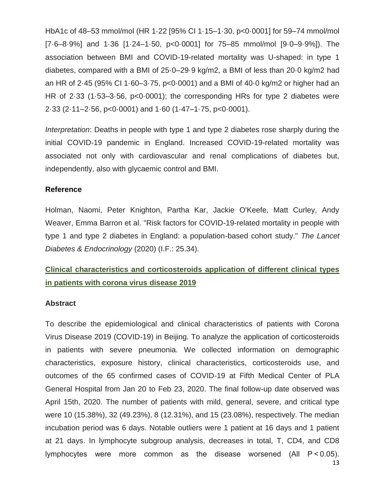HbA1c of 48–53 mmol/mol (HR 1·22 [95% CI 1·15–1·30, p<0·0001] for 59–74 mmol/mol [7·6–8·9%] and 1·36 [1·24–1·50, p<0·0001] for 75–85 mmol/mol [9·0–9·9%]). The association between BMI and COVID-19-related mortality was U-shaped: in type 1 diabetes, compared with a BMI of 25·0–29·9 kg/m2, a BMI of less than 20·0 kg/m2 had an HR of 2·45 (95% CI 1·60–3·75, p<0·0001) and a BMI of 40·0 kg/m2 or higher had an HR of 2·33 (1·53–3·56, p<0·0001); the corresponding HRs for type 2 diabetes were 2·33 (2·11–2·56, p<0·0001) and 1·60 (1·47–1·75, p<0·0001).

*Interpretation*: Deaths in people with type 1 and type 2 diabetes rose sharply during the initial COVID-19 pandemic in England. Increased COVID-19-related mortality was associated not only with cardiovascular and renal complications of diabetes but, independently, also with glycaemic control and BMI.

## **Reference**

Holman, Naomi, Peter Knighton, Partha Kar, Jackie O'Keefe, Matt Curley, Andy Weaver, Emma Barron et al. "Risk factors for COVID-19-related mortality in people with type 1 and type 2 diabetes in England: a population-based cohort study." *The Lancet Diabetes & Endocrinology* (2020) (I.F.: 25.34).

# **Clinical characteristics and corticosteroids application of different clinical types in patients with corona virus disease 2019**

## **Abstract**

To describe the epidemiological and clinical characteristics of patients with Corona Virus Disease 2019 (COVID-19) in Beijing. To analyze the application of corticosteroids in patients with severe pneumonia. We collected information on demographic characteristics, exposure history, clinical characteristics, corticosteroids use, and outcomes of the 65 confirmed cases of COVID-19 at Fifth Medical Center of PLA General Hospital from Jan 20 to Feb 23, 2020. The final follow-up date observed was April 15th, 2020. The number of patients with mild, general, severe, and critical type were 10 (15.38%), 32 (49.23%), 8 (12.31%), and 15 (23.08%), respectively. The median incubation period was 6 days. Notable outliers were 1 patient at 16 days and 1 patient at 21 days. In lymphocyte subgroup analysis, decreases in total, T, CD4, and CD8 lymphocytes were more common as the disease worsened (All P < 0.05).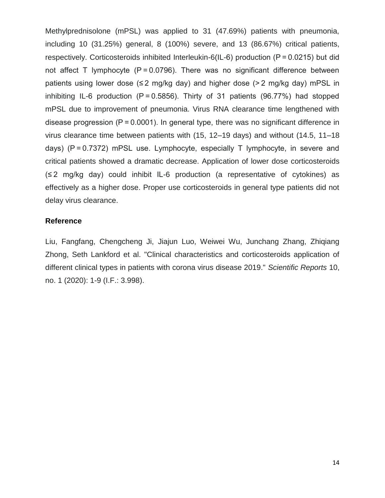Methylprednisolone (mPSL) was applied to 31 (47.69%) patients with pneumonia, including 10 (31.25%) general, 8 (100%) severe, and 13 (86.67%) critical patients, respectively. Corticosteroids inhibited Interleukin-6(IL-6) production (P = 0.0215) but did not affect T lymphocyte (P = 0.0796). There was no significant difference between patients using lower dose ( $\leq$ 2 mg/kg day) and higher dose (>2 mg/kg day) mPSL in inhibiting IL-6 production (P = 0.5856). Thirty of 31 patients (96.77%) had stopped mPSL due to improvement of pneumonia. Virus RNA clearance time lengthened with disease progression  $(P = 0.0001)$ . In general type, there was no significant difference in virus clearance time between patients with (15, 12–19 days) and without (14.5, 11–18 days) (P = 0.7372) mPSL use. Lymphocyte, especially T lymphocyte, in severe and critical patients showed a dramatic decrease. Application of lower dose corticosteroids (≤ 2 mg/kg day) could inhibit IL-6 production (a representative of cytokines) as effectively as a higher dose. Proper use corticosteroids in general type patients did not delay virus clearance.

## **Reference**

Liu, Fangfang, Chengcheng Ji, Jiajun Luo, Weiwei Wu, Junchang Zhang, Zhiqiang Zhong, Seth Lankford et al. "Clinical characteristics and corticosteroids application of different clinical types in patients with corona virus disease 2019." *Scientific Reports* 10, no. 1 (2020): 1-9 (I.F.: 3.998).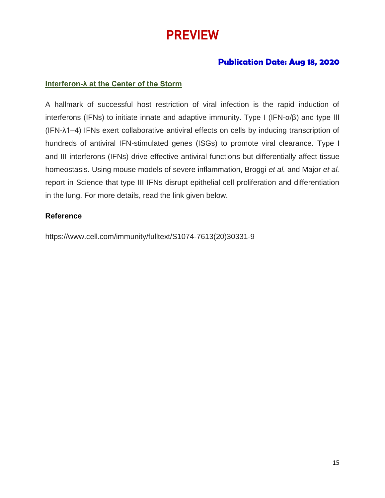# PREVIEW

# **Publication Date: Aug 18, 2020**

# **Interferon-λ at the Center of the Storm**

A hallmark of successful host restriction of viral infection is the rapid induction of interferons (IFNs) to initiate innate and adaptive immunity. Type I (IFN-α/β) and type III (IFN-λ1–4) IFNs exert collaborative antiviral effects on cells by inducing transcription of hundreds of antiviral IFN-stimulated genes (ISGs) to promote viral clearance. Type I and III interferons (IFNs) drive effective antiviral functions but differentially affect tissue homeostasis. Using mouse models of severe inflammation, Broggi *et al.* and Major *et al.* report in Science that type III IFNs disrupt epithelial cell proliferation and differentiation in the lung. For more details, read the link given below.

## **Reference**

https://www.cell.com/immunity/fulltext/S1074-7613(20)30331-9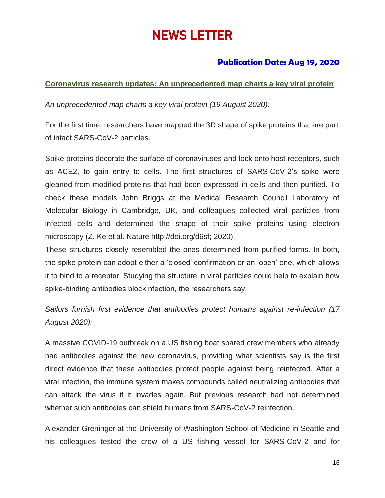# NEWS LETTER

# **Publication Date: Aug 19, 2020**

# **Coronavirus research updates: An unprecedented map charts a key viral protein**

*An unprecedented map charts a key viral protein (19 August 2020):*

For the first time, researchers have mapped the 3D shape of spike proteins that are part of intact SARS-CoV-2 particles.

Spike proteins decorate the surface of coronaviruses and lock onto host receptors, such as ACE2, to gain entry to cells. The first structures of SARS-CoV-2's spike were gleaned from modified proteins that had been expressed in cells and then purified. To check these models John Briggs at the Medical Research Council Laboratory of Molecular Biology in Cambridge, UK, and colleagues collected viral particles from infected cells and determined the shape of their spike proteins using electron microscopy (Z. Ke et al. Nature http://doi.org/d6sf; 2020).

These structures closely resembled the ones determined from purified forms. In both, the spike protein can adopt either a 'closed' confirmation or an 'open' one, which allows it to bind to a receptor. Studying the structure in viral particles could help to explain how spike-binding antibodies block nfection, the researchers say.

*Sailors furnish first evidence that antibodies protect humans against re-infection (17 August 2020):*

A massive COVID-19 outbreak on a US fishing boat spared crew members who already had antibodies against the new coronavirus, providing what scientists say is the first direct evidence that these antibodies protect people against being reinfected. After a viral infection, the immune system makes compounds called neutralizing antibodies that can attack the virus if it invades again. But previous research had not determined whether such antibodies can shield humans from SARS-CoV-2 reinfection.

Alexander Greninger at the University of Washington School of Medicine in Seattle and his colleagues tested the crew of a US fishing vessel for SARS-CoV-2 and for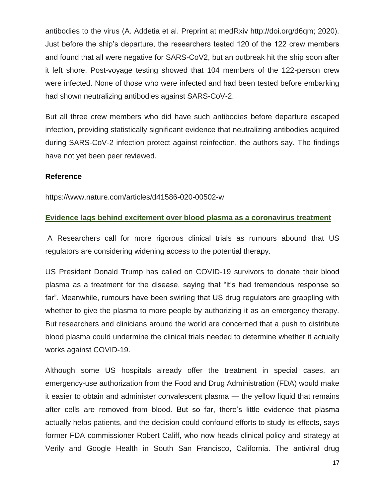antibodies to the virus (A. Addetia et al. Preprint at medRxiv http://doi.org/d6qm; 2020). Just before the ship's departure, the researchers tested 120 of the 122 crew members and found that all were negative for SARS-CoV2, but an outbreak hit the ship soon after it left shore. Post-voyage testing showed that 104 members of the 122-person crew were infected. None of those who were infected and had been tested before embarking had shown neutralizing antibodies against SARS-CoV-2.

But all three crew members who did have such antibodies before departure escaped infection, providing statistically significant evidence that neutralizing antibodies acquired during SARS-CoV-2 infection protect against reinfection, the authors say. The findings have not yet been peer reviewed.

## **Reference**

<https://www.nature.com/articles/d41586-020-00502-w>

## **Evidence lags behind excitement over blood plasma as a coronavirus treatment**

A Researchers call for more rigorous clinical trials as rumours abound that US regulators are considering widening access to the potential therapy.

US President Donald Trump has called on COVID-19 survivors to donate their blood plasma as a treatment for the disease, saying that "it's had tremendous response so far". Meanwhile, rumours have been swirling that US drug regulators are grappling with whether to give the plasma to more people by authorizing it as an emergency therapy. But researchers and clinicians around the world are concerned that a push to distribute blood plasma could undermine the clinical trials needed to determine whether it actually works against COVID-19.

Although some US hospitals already offer the treatment in special cases, an emergency-use authorization from the Food and Drug Administration (FDA) would make it easier to obtain and administer convalescent plasma — the yellow liquid that remains after cells are removed from blood. But so far, there's little evidence that plasma actually helps patients, and the decision could confound efforts to study its effects, says former FDA commissioner Robert Califf, who now heads clinical policy and strategy at Verily and Google Health in South San Francisco, California. The antiviral drug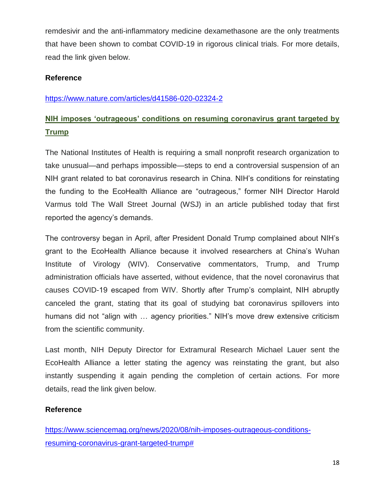remdesivir and the anti-inflammatory medicine dexamethasone are the only treatments that have been shown to combat COVID-19 in rigorous clinical trials. For more details, read the link given below.

# **Reference**

## <https://www.nature.com/articles/d41586-020-02324-2>

# **NIH imposes 'outrageous' conditions on resuming coronavirus grant targeted by Trump**

The National Institutes of Health is requiring a small nonprofit research organization to take unusual—and perhaps impossible—steps to end a controversial suspension of an NIH grant related to bat coronavirus research in China. NIH's conditions for reinstating the funding to the EcoHealth Alliance are "outrageous," former NIH Director Harold Varmus told The Wall Street Journal (WSJ) in an article published today that first reported the agency's demands.

The controversy began in April, after President Donald Trump complained about NIH's grant to the EcoHealth Alliance because it involved researchers at China's Wuhan Institute of Virology (WIV). Conservative commentators, Trump, and Trump administration officials have asserted, without evidence, that the novel coronavirus that causes COVID-19 escaped from WIV. Shortly after Trump's complaint, NIH abruptly canceled the grant, stating that its goal of studying bat coronavirus spillovers into humans did not "align with … agency priorities." NIH's move drew extensive criticism from the scientific community.

Last month, NIH Deputy Director for Extramural Research Michael Lauer sent the EcoHealth Alliance a letter stating the agency was reinstating the grant, but also instantly suspending it again pending the completion of certain actions. For more details, read the link given below.

## **Reference**

[https://www.sciencemag.org/news/2020/08/nih-imposes-outrageous-conditions](https://www.sciencemag.org/news/2020/08/nih-imposes-outrageous-conditions-resuming-coronavirus-grant-targeted-trump)[resuming-coronavirus-grant-targeted-trump#](https://www.sciencemag.org/news/2020/08/nih-imposes-outrageous-conditions-resuming-coronavirus-grant-targeted-trump)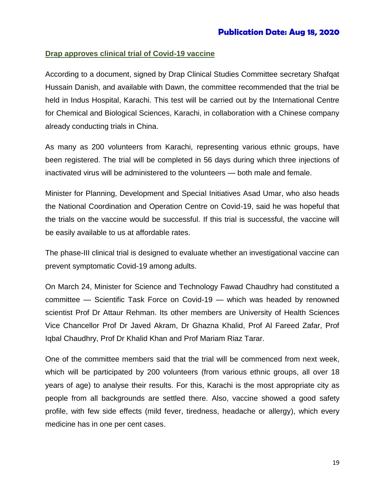## **Drap approves clinical trial of Covid-19 vaccine**

According to a document, signed by Drap Clinical Studies Committee secretary Shafqat Hussain Danish, and available with Dawn, the committee recommended that the trial be held in Indus Hospital, Karachi. This test will be carried out by the International Centre for Chemical and Biological Sciences, Karachi, in collaboration with a Chinese company already conducting trials in China.

As many as 200 volunteers from Karachi, representing various ethnic groups, have been registered. The trial will be completed in 56 days during which three injections of inactivated virus will be administered to the volunteers — both male and female.

Minister for Planning, Development and Special Initiatives Asad Umar, who also heads the National Coordination and Operation Centre on Covid-19, said he was hopeful that the trials on the vaccine would be successful. If this trial is successful, the vaccine will be easily available to us at affordable rates.

The phase-III clinical trial is designed to evaluate whether an investigational vaccine can prevent symptomatic Covid-19 among adults.

On March 24, Minister for Science and Technology Fawad Chaudhry had constituted a committee — Scientific Task Force on Covid-19 — which was headed by renowned scientist Prof Dr Attaur Rehman. Its other members are University of Health Sciences Vice Chancellor Prof Dr Javed Akram, Dr Ghazna Khalid, Prof Al Fareed Zafar, Prof Iqbal Chaudhry, Prof Dr Khalid Khan and Prof Mariam Riaz Tarar.

One of the committee members said that the trial will be commenced from next week, which will be participated by 200 volunteers (from various ethnic groups, all over 18 years of age) to analyse their results. For this, Karachi is the most appropriate city as people from all backgrounds are settled there. Also, vaccine showed a good safety profile, with few side effects (mild fever, tiredness, headache or allergy), which every medicine has in one per cent cases.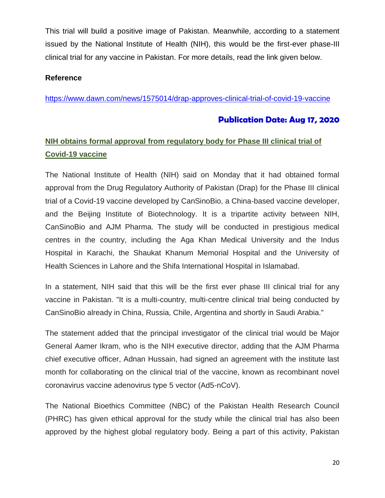This trial will build a positive image of Pakistan. Meanwhile, according to a statement issued by the National Institute of Health (NIH), this would be the first-ever phase-III clinical trial for any vaccine in Pakistan. For more details, read the link given below.

# **Reference**

<https://www.dawn.com/news/1575014/drap-approves-clinical-trial-of-covid-19-vaccine>

# **Publication Date: Aug 17, 2020**

# **NIH obtains formal approval from regulatory body for Phase III clinical trial of Covid-19 vaccine**

The National Institute of Health (NIH) said on Monday that it had obtained formal approval from the Drug Regulatory Authority of Pakistan (Drap) for the Phase III clinical trial of a Covid-19 vaccine developed by CanSinoBio, a China-based vaccine developer, and the Beijing Institute of Biotechnology. It is a tripartite activity between NIH, CanSinoBio and AJM Pharma. The study will be conducted in prestigious medical centres in the country, including the Aga Khan Medical University and the Indus Hospital in Karachi, the Shaukat Khanum Memorial Hospital and the University of Health Sciences in Lahore and the Shifa International Hospital in Islamabad.

In a statement, NIH said that this will be the first ever phase III clinical trial for any vaccine in Pakistan. "It is a multi-country, multi-centre clinical trial being conducted by CanSinoBio already in China, Russia, Chile, Argentina and shortly in Saudi Arabia."

The statement added that the principal investigator of the clinical trial would be Major General Aamer Ikram, who is the NIH executive director, adding that the AJM Pharma chief executive officer, Adnan Hussain, had signed an agreement with the institute last month for collaborating on the clinical trial of the vaccine, known as recombinant novel coronavirus vaccine adenovirus type 5 vector (Ad5-nCoV).

The National Bioethics Committee (NBC) of the Pakistan Health Research Council (PHRC) has given ethical approval for the study while the clinical trial has also been approved by the highest global regulatory body. Being a part of this activity, Pakistan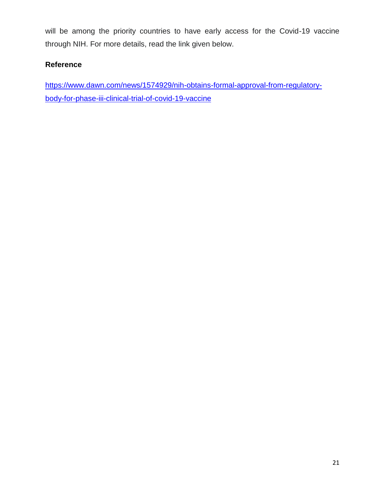will be among the priority countries to have early access for the Covid-19 vaccine through NIH. For more details, read the link given below.

# **Reference**

[https://www.dawn.com/news/1574929/nih-obtains-formal-approval-from-regulatory](https://www.dawn.com/news/1574929/nih-obtains-formal-approval-from-regulatory-body-for-phase-iii-clinical-trial-of-covid-19-vaccine)[body-for-phase-iii-clinical-trial-of-covid-19-vaccine](https://www.dawn.com/news/1574929/nih-obtains-formal-approval-from-regulatory-body-for-phase-iii-clinical-trial-of-covid-19-vaccine)